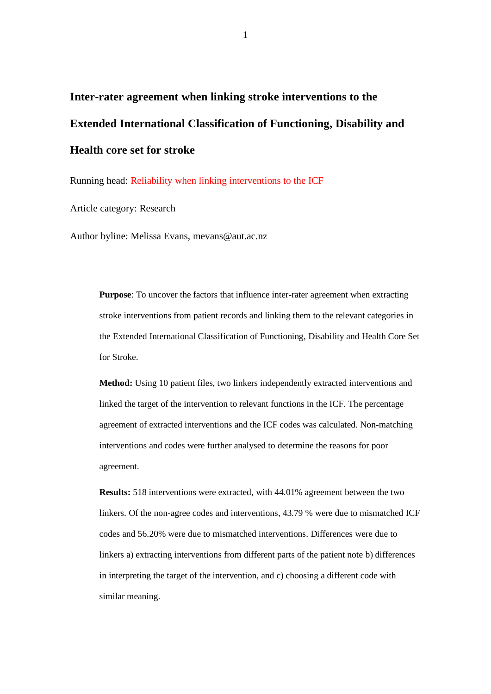# **Inter-rater agreement when linking stroke interventions to the Extended International Classification of Functioning, Disability and Health core set for stroke**

Running head: Reliability when linking interventions to the ICF

Article category: Research

Author byline: Melissa Evans, mevans@aut.ac.nz

**Purpose**: To uncover the factors that influence inter-rater agreement when extracting stroke interventions from patient records and linking them to the relevant categories in the Extended International Classification of Functioning, Disability and Health Core Set for Stroke.

**Method:** Using 10 patient files, two linkers independently extracted interventions and linked the target of the intervention to relevant functions in the ICF. The percentage agreement of extracted interventions and the ICF codes was calculated. Non-matching interventions and codes were further analysed to determine the reasons for poor agreement.

**Results:** 518 interventions were extracted, with 44.01% agreement between the two linkers. Of the non-agree codes and interventions, 43.79 % were due to mismatched ICF codes and 56.20% were due to mismatched interventions. Differences were due to linkers a) extracting interventions from different parts of the patient note b) differences in interpreting the target of the intervention, and c) choosing a different code with similar meaning.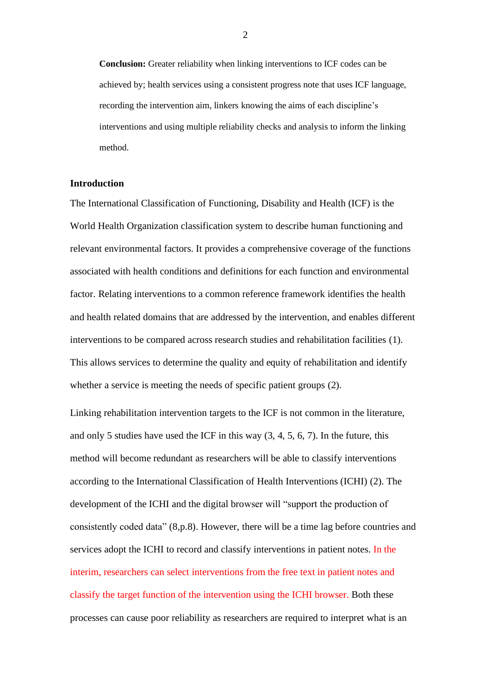**Conclusion:** Greater reliability when linking interventions to ICF codes can be achieved by; health services using a consistent progress note that uses ICF language, recording the intervention aim, linkers knowing the aims of each discipline's interventions and using multiple reliability checks and analysis to inform the linking method.

## **Introduction**

The International Classification of Functioning, Disability and Health (ICF) is the World Health Organization classification system to describe human functioning and relevant environmental factors. It provides a comprehensive coverage of the functions associated with health conditions and definitions for each function and environmental factor. Relating interventions to a common reference framework identifies the health and health related domains that are addressed by the intervention, and enables different interventions to be compared across research studies and rehabilitation facilities (1). This allows services to determine the quality and equity of rehabilitation and identify whether a service is meeting the needs of specific patient groups (2).

Linking rehabilitation intervention targets to the ICF is not common in the literature, and only 5 studies have used the ICF in this way (3, 4, 5, 6, 7). In the future, this method will become redundant as researchers will be able to classify interventions according to the International Classification of Health Interventions (ICHI) (2). The development of the ICHI and the digital browser will "support the production of consistently coded data" (8,p.8). However, there will be a time lag before countries and services adopt the ICHI to record and classify interventions in patient notes. In the interim, researchers can select interventions from the free text in patient notes and classify the target function of the intervention using the ICHI browser. Both these processes can cause poor reliability as researchers are required to interpret what is an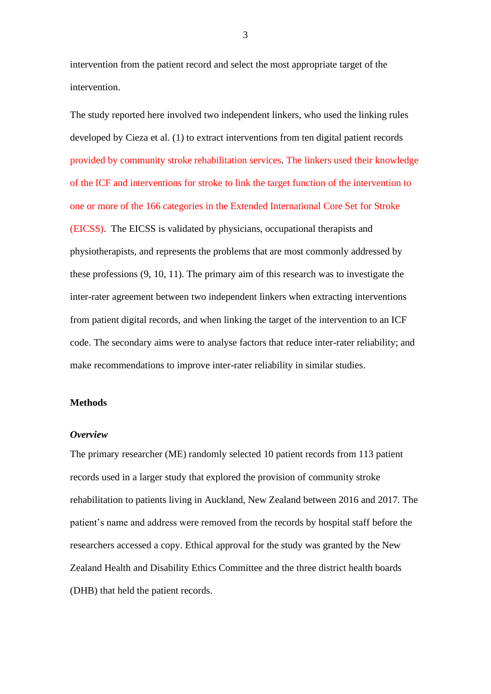intervention from the patient record and select the most appropriate target of the intervention.

The study reported here involved two independent linkers, who used the linking rules developed by Cieza et al. (1) to extract interventions from ten digital patient records provided by community stroke rehabilitation services. The linkers used their knowledge of the ICF and interventions for stroke to link the target function of the intervention to one or more of the 166 categories in the Extended International Core Set for Stroke (EICSS). The EICSS is validated by physicians, occupational therapists and physiotherapists, and represents the problems that are most commonly addressed by these professions (9, 10, 11). The primary aim of this research was to investigate the inter-rater agreement between two independent linkers when extracting interventions from patient digital records, and when linking the target of the intervention to an ICF code. The secondary aims were to analyse factors that reduce inter-rater reliability; and make recommendations to improve inter-rater reliability in similar studies.

## **Methods**

#### *Overview*

The primary researcher (ME) randomly selected 10 patient records from 113 patient records used in a larger study that explored the provision of community stroke rehabilitation to patients living in Auckland, New Zealand between 2016 and 2017. The patient's name and address were removed from the records by hospital staff before the researchers accessed a copy. Ethical approval for the study was granted by the New Zealand Health and Disability Ethics Committee and the three district health boards (DHB) that held the patient records.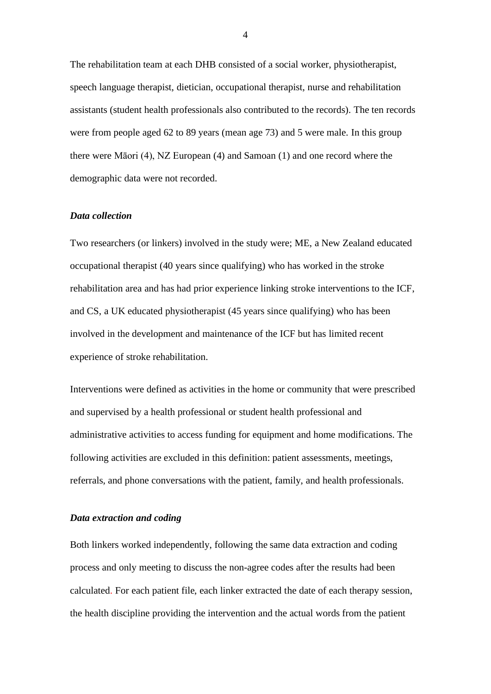The rehabilitation team at each DHB consisted of a social worker, physiotherapist, speech language therapist, dietician, occupational therapist, nurse and rehabilitation assistants (student health professionals also contributed to the records). The ten records were from people aged 62 to 89 years (mean age 73) and 5 were male. In this group there were Māori (4), NZ European (4) and Samoan (1) and one record where the demographic data were not recorded.

#### *Data collection*

Two researchers (or linkers) involved in the study were; ME, a New Zealand educated occupational therapist (40 years since qualifying) who has worked in the stroke rehabilitation area and has had prior experience linking stroke interventions to the ICF, and CS, a UK educated physiotherapist (45 years since qualifying) who has been involved in the development and maintenance of the ICF but has limited recent experience of stroke rehabilitation.

Interventions were defined as activities in the home or community that were prescribed and supervised by a health professional or student health professional and administrative activities to access funding for equipment and home modifications. The following activities are excluded in this definition: patient assessments, meetings, referrals, and phone conversations with the patient, family, and health professionals.

### *Data extraction and coding*

Both linkers worked independently, following the same data extraction and coding process and only meeting to discuss the non-agree codes after the results had been calculated. For each patient file, each linker extracted the date of each therapy session, the health discipline providing the intervention and the actual words from the patient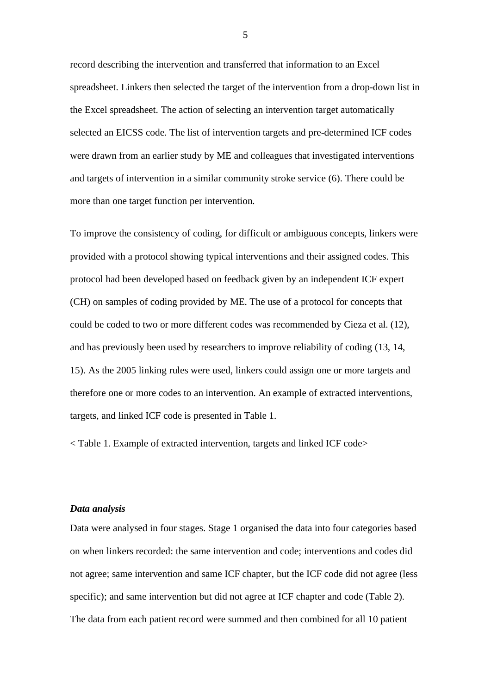record describing the intervention and transferred that information to an Excel spreadsheet. Linkers then selected the target of the intervention from a drop-down list in the Excel spreadsheet. The action of selecting an intervention target automatically selected an EICSS code. The list of intervention targets and pre-determined ICF codes were drawn from an earlier study by ME and colleagues that investigated interventions and targets of intervention in a similar community stroke service (6). There could be more than one target function per intervention.

To improve the consistency of coding, for difficult or ambiguous concepts, linkers were provided with a protocol showing typical interventions and their assigned codes. This protocol had been developed based on feedback given by an independent ICF expert (CH) on samples of coding provided by ME. The use of a protocol for concepts that could be coded to two or more different codes was recommended by Cieza et al. (12), and has previously been used by researchers to improve reliability of coding (13, 14, 15). As the 2005 linking rules were used, linkers could assign one or more targets and therefore one or more codes to an intervention. An example of extracted interventions, targets, and linked ICF code is presented in Table 1.

< Table 1. Example of extracted intervention, targets and linked ICF code>

## *Data analysis*

Data were analysed in four stages. Stage 1 organised the data into four categories based on when linkers recorded: the same intervention and code; interventions and codes did not agree; same intervention and same ICF chapter, but the ICF code did not agree (less specific); and same intervention but did not agree at ICF chapter and code (Table 2). The data from each patient record were summed and then combined for all 10 patient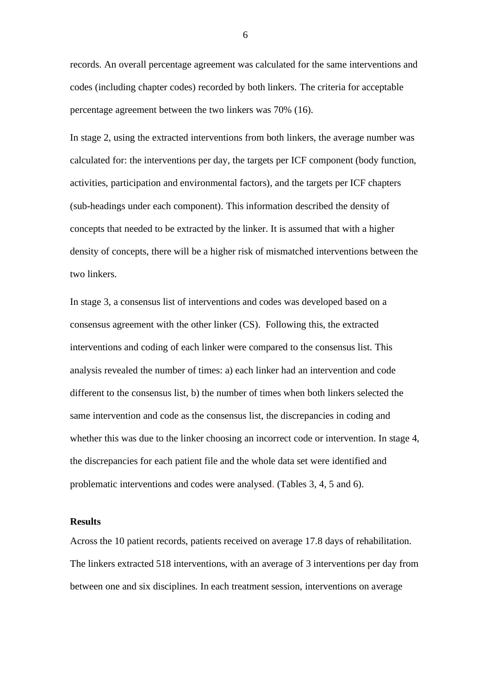records. An overall percentage agreement was calculated for the same interventions and codes (including chapter codes) recorded by both linkers. The criteria for acceptable percentage agreement between the two linkers was 70% (16).

In stage 2, using the extracted interventions from both linkers, the average number was calculated for: the interventions per day, the targets per ICF component (body function, activities, participation and environmental factors), and the targets per ICF chapters (sub-headings under each component). This information described the density of concepts that needed to be extracted by the linker. It is assumed that with a higher density of concepts, there will be a higher risk of mismatched interventions between the two linkers.

In stage 3, a consensus list of interventions and codes was developed based on a consensus agreement with the other linker (CS). Following this, the extracted interventions and coding of each linker were compared to the consensus list. This analysis revealed the number of times: a) each linker had an intervention and code different to the consensus list, b) the number of times when both linkers selected the same intervention and code as the consensus list, the discrepancies in coding and whether this was due to the linker choosing an incorrect code or intervention. In stage 4, the discrepancies for each patient file and the whole data set were identified and problematic interventions and codes were analysed. (Tables 3, 4, 5 and 6).

## **Results**

Across the 10 patient records, patients received on average 17.8 days of rehabilitation. The linkers extracted 518 interventions, with an average of 3 interventions per day from between one and six disciplines. In each treatment session, interventions on average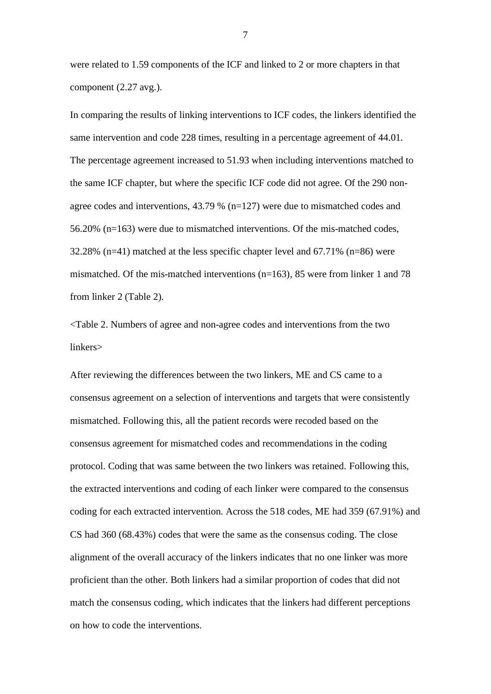were related to 1.59 components of the ICF and linked to 2 or more chapters in that component (2.27 avg.).

In comparing the results of linking interventions to ICF codes, the linkers identified the same intervention and code 228 times, resulting in a percentage agreement of 44.01. The percentage agreement increased to 51.93 when including interventions matched to the same ICF chapter, but where the specific ICF code did not agree. Of the 290 nonagree codes and interventions, 43.79 % (n=127) were due to mismatched codes and 56.20% (n=163) were due to mismatched interventions. Of the mis-matched codes, 32.28% (n=41) matched at the less specific chapter level and 67.71% (n=86) were mismatched. Of the mis-matched interventions (n=163), 85 were from linker 1 and 78 from linker 2 (Table 2).

<Table 2. Numbers of agree and non-agree codes and interventions from the two linkers>

After reviewing the differences between the two linkers, ME and CS came to a consensus agreement on a selection of interventions and targets that were consistently mismatched. Following this, all the patient records were recoded based on the consensus agreement for mismatched codes and recommendations in the coding protocol. Coding that was same between the two linkers was retained. Following this, the extracted interventions and coding of each linker were compared to the consensus coding for each extracted intervention. Across the 518 codes, ME had 359 (67.91%) and CS had 360 (68.43%) codes that were the same as the consensus coding. The close alignment of the overall accuracy of the linkers indicates that no one linker was more proficient than the other. Both linkers had a similar proportion of codes that did not match the consensus coding, which indicates that the linkers had different perceptions on how to code the interventions.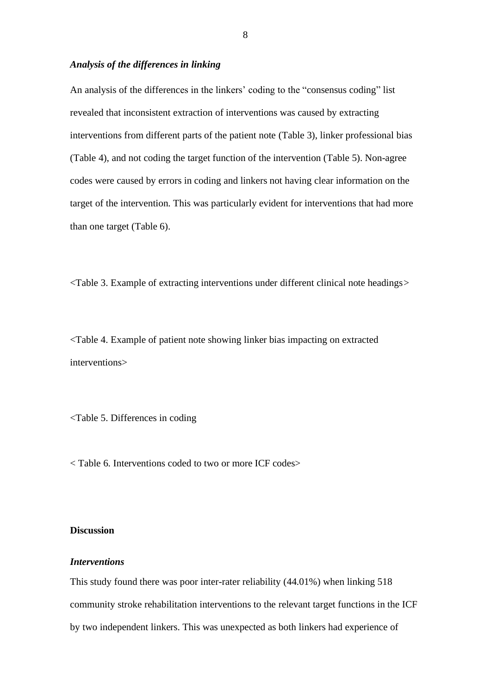## *Analysis of the differences in linking*

An analysis of the differences in the linkers' coding to the "consensus coding" list revealed that inconsistent extraction of interventions was caused by extracting interventions from different parts of the patient note (Table 3), linker professional bias (Table 4), and not coding the target function of the intervention (Table 5). Non-agree codes were caused by errors in coding and linkers not having clear information on the target of the intervention. This was particularly evident for interventions that had more than one target (Table 6).

<Table 3. Example of extracting interventions under different clinical note headings*>*

<Table 4. Example of patient note showing linker bias impacting on extracted interventions>

<Table 5. Differences in coding

< Table 6. Interventions coded to two or more ICF codes>

# **Discussion**

## *Interventions*

This study found there was poor inter-rater reliability (44.01%) when linking 518 community stroke rehabilitation interventions to the relevant target functions in the ICF by two independent linkers. This was unexpected as both linkers had experience of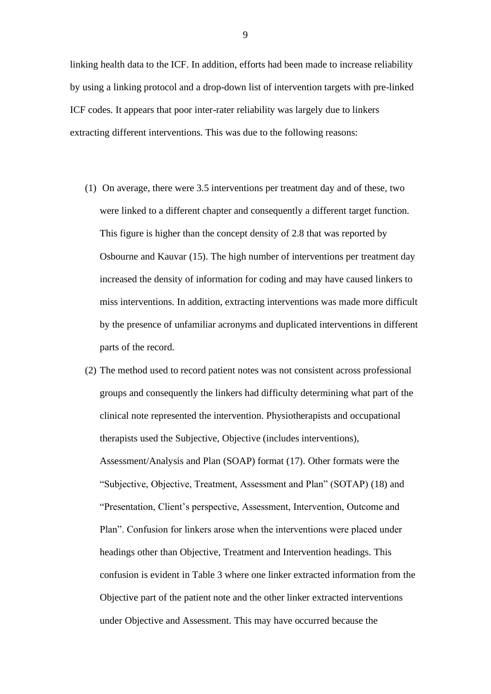linking health data to the ICF. In addition, efforts had been made to increase reliability by using a linking protocol and a drop-down list of intervention targets with pre-linked ICF codes. It appears that poor inter-rater reliability was largely due to linkers extracting different interventions. This was due to the following reasons:

- (1) On average, there were 3.5 interventions per treatment day and of these, two were linked to a different chapter and consequently a different target function. This figure is higher than the concept density of 2.8 that was reported by Osbourne and Kauvar (15). The high number of interventions per treatment day increased the density of information for coding and may have caused linkers to miss interventions. In addition, extracting interventions was made more difficult by the presence of unfamiliar acronyms and duplicated interventions in different parts of the record.
- (2) The method used to record patient notes was not consistent across professional groups and consequently the linkers had difficulty determining what part of the clinical note represented the intervention. Physiotherapists and occupational therapists used the Subjective, Objective (includes interventions), Assessment/Analysis and Plan (SOAP) format (17). Other formats were the "Subjective, Objective, Treatment, Assessment and Plan" (SOTAP) (18) and "Presentation, Client's perspective, Assessment, Intervention, Outcome and Plan". Confusion for linkers arose when the interventions were placed under headings other than Objective, Treatment and Intervention headings. This confusion is evident in Table 3 where one linker extracted information from the Objective part of the patient note and the other linker extracted interventions under Objective and Assessment. This may have occurred because the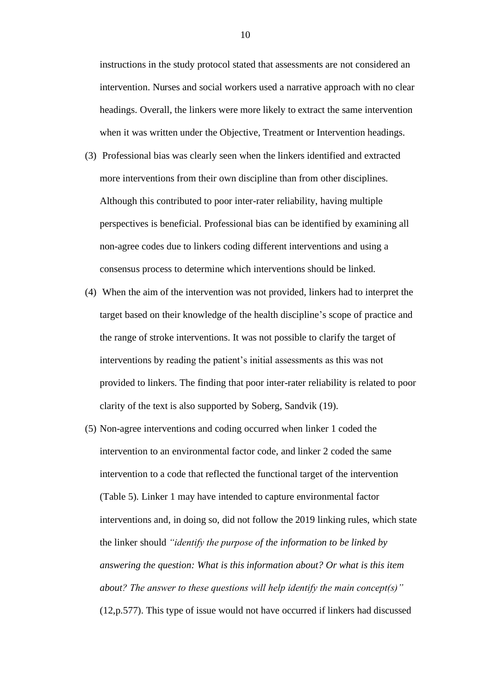instructions in the study protocol stated that assessments are not considered an intervention. Nurses and social workers used a narrative approach with no clear headings. Overall, the linkers were more likely to extract the same intervention when it was written under the Objective, Treatment or Intervention headings.

- (3) Professional bias was clearly seen when the linkers identified and extracted more interventions from their own discipline than from other disciplines. Although this contributed to poor inter-rater reliability, having multiple perspectives is beneficial. Professional bias can be identified by examining all non-agree codes due to linkers coding different interventions and using a consensus process to determine which interventions should be linked.
- (4) When the aim of the intervention was not provided, linkers had to interpret the target based on their knowledge of the health discipline's scope of practice and the range of stroke interventions. It was not possible to clarify the target of interventions by reading the patient's initial assessments as this was not provided to linkers. The finding that poor inter-rater reliability is related to poor clarity of the text is also supported by Soberg, Sandvik (19).
- (5) Non-agree interventions and coding occurred when linker 1 coded the intervention to an environmental factor code, and linker 2 coded the same intervention to a code that reflected the functional target of the intervention (Table 5). Linker 1 may have intended to capture environmental factor interventions and, in doing so, did not follow the 2019 linking rules, which state the linker should *"identify the purpose of the information to be linked by answering the question: What is this information about? Or what is this item about? The answer to these questions will help identify the main concept(s)"* (12,p.577). This type of issue would not have occurred if linkers had discussed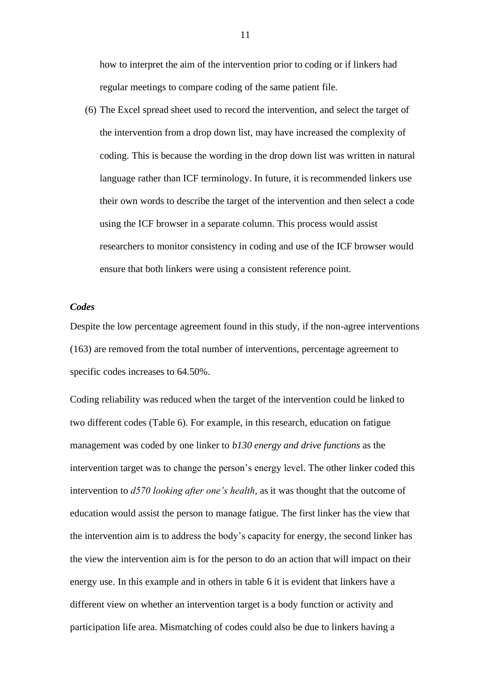how to interpret the aim of the intervention prior to coding or if linkers had regular meetings to compare coding of the same patient file.

(6) The Excel spread sheet used to record the intervention, and select the target of the intervention from a drop down list, may have increased the complexity of coding. This is because the wording in the drop down list was written in natural language rather than ICF terminology. In future, it is recommended linkers use their own words to describe the target of the intervention and then select a code using the ICF browser in a separate column. This process would assist researchers to monitor consistency in coding and use of the ICF browser would ensure that both linkers were using a consistent reference point.

# *Codes*

Despite the low percentage agreement found in this study, if the non-agree interventions (163) are removed from the total number of interventions, percentage agreement to specific codes increases to 64.50%.

Coding reliability was reduced when the target of the intervention could be linked to two different codes (Table 6). For example, in this research, education on fatigue management was coded by one linker to *b130 energy and drive functions* as the intervention target was to change the person's energy level. The other linker coded this intervention to *d570 looking after one's health*, as it was thought that the outcome of education would assist the person to manage fatigue. The first linker has the view that the intervention aim is to address the body's capacity for energy, the second linker has the view the intervention aim is for the person to do an action that will impact on their energy use. In this example and in others in table 6 it is evident that linkers have a different view on whether an intervention target is a body function or activity and participation life area. Mismatching of codes could also be due to linkers having a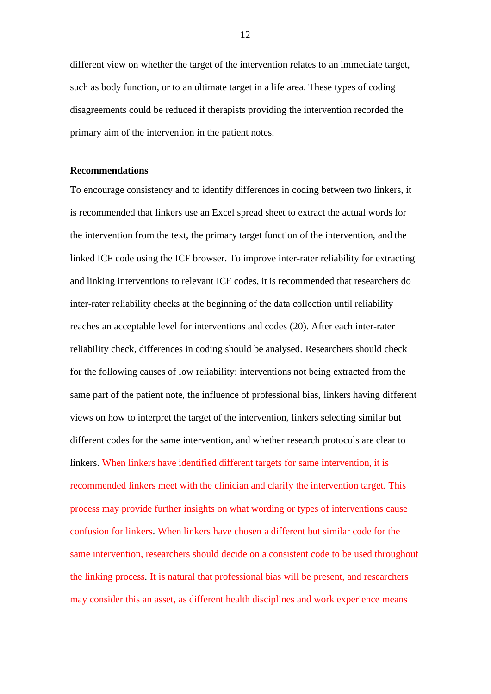different view on whether the target of the intervention relates to an immediate target, such as body function, or to an ultimate target in a life area. These types of coding disagreements could be reduced if therapists providing the intervention recorded the primary aim of the intervention in the patient notes.

## **Recommendations**

To encourage consistency and to identify differences in coding between two linkers, it is recommended that linkers use an Excel spread sheet to extract the actual words for the intervention from the text, the primary target function of the intervention, and the linked ICF code using the ICF browser. To improve inter-rater reliability for extracting and linking interventions to relevant ICF codes, it is recommended that researchers do inter-rater reliability checks at the beginning of the data collection until reliability reaches an acceptable level for interventions and codes (20). After each inter-rater reliability check, differences in coding should be analysed. Researchers should check for the following causes of low reliability: interventions not being extracted from the same part of the patient note, the influence of professional bias, linkers having different views on how to interpret the target of the intervention, linkers selecting similar but different codes for the same intervention, and whether research protocols are clear to linkers. When linkers have identified different targets for same intervention, it is recommended linkers meet with the clinician and clarify the intervention target. This process may provide further insights on what wording or types of interventions cause confusion for linkers. When linkers have chosen a different but similar code for the same intervention, researchers should decide on a consistent code to be used throughout the linking process. It is natural that professional bias will be present, and researchers may consider this an asset, as different health disciplines and work experience means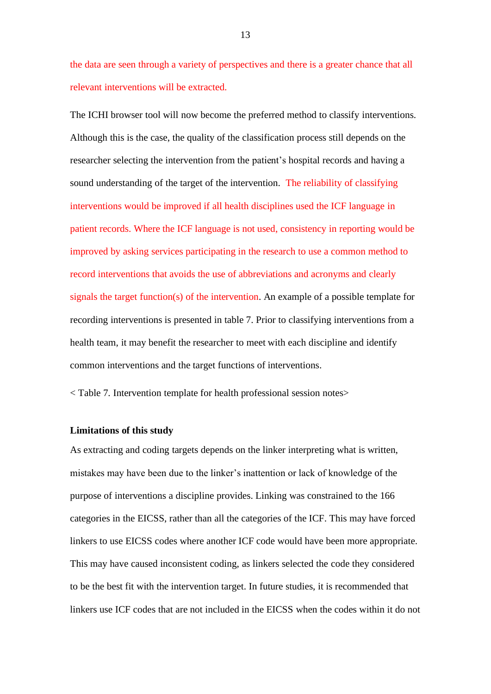the data are seen through a variety of perspectives and there is a greater chance that all relevant interventions will be extracted.

The ICHI browser tool will now become the preferred method to classify interventions. Although this is the case, the quality of the classification process still depends on the researcher selecting the intervention from the patient's hospital records and having a sound understanding of the target of the intervention. The reliability of classifying interventions would be improved if all health disciplines used the ICF language in patient records. Where the ICF language is not used, consistency in reporting would be improved by asking services participating in the research to use a common method to record interventions that avoids the use of abbreviations and acronyms and clearly signals the target function(s) of the intervention. An example of a possible template for recording interventions is presented in table 7. Prior to classifying interventions from a health team, it may benefit the researcher to meet with each discipline and identify common interventions and the target functions of interventions.

< Table 7. Intervention template for health professional session notes>

#### **Limitations of this study**

As extracting and coding targets depends on the linker interpreting what is written, mistakes may have been due to the linker's inattention or lack of knowledge of the purpose of interventions a discipline provides. Linking was constrained to the 166 categories in the EICSS, rather than all the categories of the ICF. This may have forced linkers to use EICSS codes where another ICF code would have been more appropriate. This may have caused inconsistent coding, as linkers selected the code they considered to be the best fit with the intervention target. In future studies, it is recommended that linkers use ICF codes that are not included in the EICSS when the codes within it do not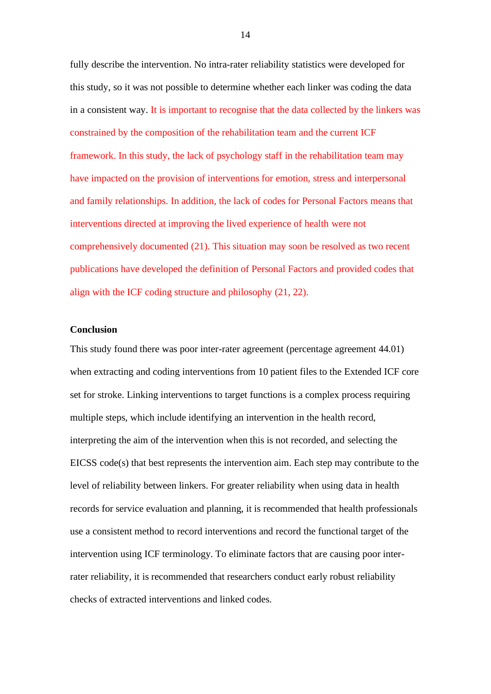fully describe the intervention. No intra-rater reliability statistics were developed for this study, so it was not possible to determine whether each linker was coding the data in a consistent way. It is important to recognise that the data collected by the linkers was constrained by the composition of the rehabilitation team and the current ICF framework. In this study, the lack of psychology staff in the rehabilitation team may have impacted on the provision of interventions for emotion, stress and interpersonal and family relationships. In addition, the lack of codes for Personal Factors means that interventions directed at improving the lived experience of health were not comprehensively documented (21). This situation may soon be resolved as two recent publications have developed the definition of Personal Factors and provided codes that align with the ICF coding structure and philosophy (21, 22).

# **Conclusion**

This study found there was poor inter-rater agreement (percentage agreement 44.01) when extracting and coding interventions from 10 patient files to the Extended ICF core set for stroke. Linking interventions to target functions is a complex process requiring multiple steps, which include identifying an intervention in the health record, interpreting the aim of the intervention when this is not recorded, and selecting the EICSS code(s) that best represents the intervention aim. Each step may contribute to the level of reliability between linkers. For greater reliability when using data in health records for service evaluation and planning, it is recommended that health professionals use a consistent method to record interventions and record the functional target of the intervention using ICF terminology. To eliminate factors that are causing poor interrater reliability, it is recommended that researchers conduct early robust reliability checks of extracted interventions and linked codes.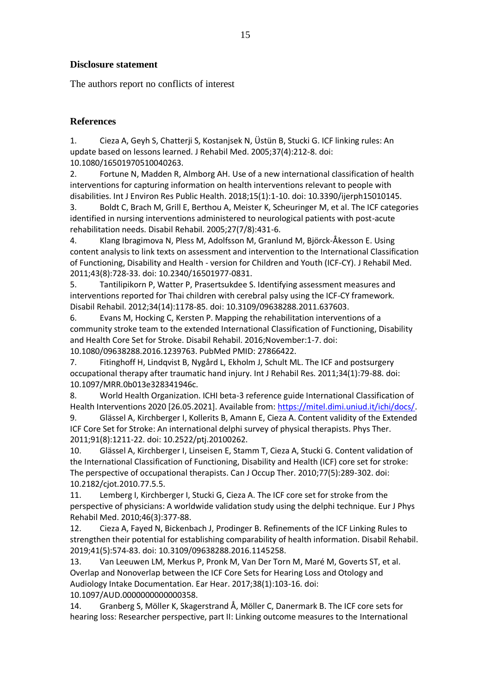# **Disclosure statement**

The authors report no conflicts of interest

# **References**

1. Cieza A, Geyh S, Chatterji S, Kostanjsek N, Üstün B, Stucki G. ICF linking rules: An update based on lessons learned. J Rehabil Med. 2005;37(4):212-8. doi: 10.1080/16501970510040263.

2. Fortune N, Madden R, Almborg AH. Use of a new international classification of health interventions for capturing information on health interventions relevant to people with disabilities. Int J Environ Res Public Health. 2018;15(1):1-10. doi: 10.3390/ijerph15010145.

3. Boldt C, Brach M, Grill E, Berthou A, Meister K, Scheuringer M, et al. The ICF categories identified in nursing interventions administered to neurological patients with post-acute rehabilitation needs. Disabil Rehabil. 2005;27(7/8):431-6.

4. Klang Ibragimova N, Pless M, Adolfsson M, Granlund M, Björck-Åkesson E. Using content analysis to link texts on assessment and intervention to the International Classification of Functioning, Disability and Health - version for Children and Youth (ICF-CY). J Rehabil Med. 2011;43(8):728-33. doi: 10.2340/16501977-0831.

5. Tantilipikorn P, Watter P, Prasertsukdee S. Identifying assessment measures and interventions reported for Thai children with cerebral palsy using the ICF-CY framework. Disabil Rehabil. 2012;34(14):1178-85. doi: 10.3109/09638288.2011.637603.

6. Evans M, Hocking C, Kersten P. Mapping the rehabilitation interventions of a community stroke team to the extended International Classification of Functioning, Disability and Health Core Set for Stroke. Disabil Rehabil. 2016;November:1-7. doi: 10.1080/09638288.2016.1239763. PubMed PMID: 27866422.

7. Fitinghoff H, Lindqvist B, Nygård L, Ekholm J, Schult ML. The ICF and postsurgery occupational therapy after traumatic hand injury. Int J Rehabil Res. 2011;34(1):79-88. doi: 10.1097/MRR.0b013e328341946c.

8. World Health Organization. ICHI beta-3 reference guide International Classification of Health Interventions 2020 [26.05.2021]. Available from: [https://mitel.dimi.uniud.it/ichi/docs/.](https://mitel.dimi.uniud.it/ichi/docs/)

9. Glässel A, Kirchberger I, Kollerits B, Amann E, Cieza A. Content validity of the Extended ICF Core Set for Stroke: An international delphi survey of physical therapists. Phys Ther. 2011;91(8):1211-22. doi: 10.2522/ptj.20100262.

10. Glässel A, Kirchberger I, Linseisen E, Stamm T, Cieza A, Stucki G. Content validation of the International Classification of Functioning, Disability and Health (ICF) core set for stroke: The perspective of occupational therapists. Can J Occup Ther. 2010;77(5):289-302. doi: 10.2182/cjot.2010.77.5.5.

11. Lemberg I, Kirchberger I, Stucki G, Cieza A. The ICF core set for stroke from the perspective of physicians: A worldwide validation study using the delphi technique. Eur J Phys Rehabil Med. 2010;46(3):377-88.

12. Cieza A, Fayed N, Bickenbach J, Prodinger B. Refinements of the ICF Linking Rules to strengthen their potential for establishing comparability of health information. Disabil Rehabil. 2019;41(5):574-83. doi: 10.3109/09638288.2016.1145258.

13. Van Leeuwen LM, Merkus P, Pronk M, Van Der Torn M, Maré M, Goverts ST, et al. Overlap and Nonoverlap between the ICF Core Sets for Hearing Loss and Otology and Audiology Intake Documentation. Ear Hear. 2017;38(1):103-16. doi:

10.1097/AUD.0000000000000358.

14. Granberg S, Möller K, Skagerstrand Å, Möller C, Danermark B. The ICF core sets for hearing loss: Researcher perspective, part II: Linking outcome measures to the International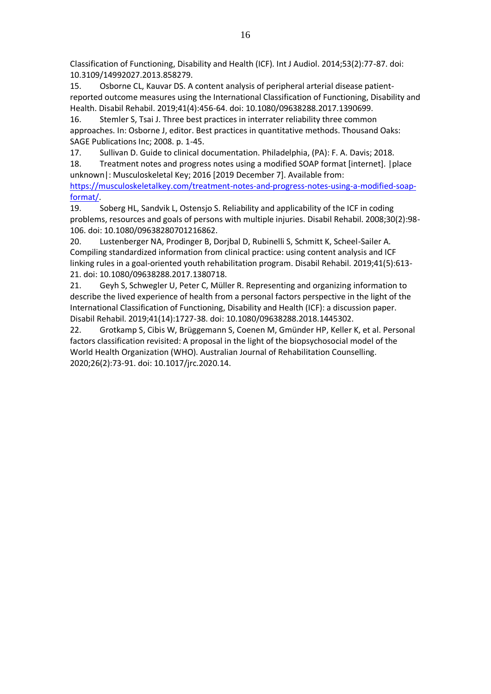Classification of Functioning, Disability and Health (ICF). Int J Audiol. 2014;53(2):77-87. doi: 10.3109/14992027.2013.858279.

15. Osborne CL, Kauvar DS. A content analysis of peripheral arterial disease patientreported outcome measures using the International Classification of Functioning, Disability and Health. Disabil Rehabil. 2019;41(4):456-64. doi: 10.1080/09638288.2017.1390699.

16. Stemler S, Tsai J. Three best practices in interrater reliability three common approaches. In: Osborne J, editor. Best practices in quantitative methods. Thousand Oaks: SAGE Publications Inc; 2008. p. 1-45.

17. Sullivan D. Guide to clinical documentation. Philadelphia, (PA): F. A. Davis; 2018.

18. Treatment notes and progress notes using a modified SOAP format [internet]. |place unknown|: Musculoskeletal Key; 2016 [2019 December 7]. Available from:

[https://musculoskeletalkey.com/treatment-notes-and-progress-notes-using-a-modified-soap](https://musculoskeletalkey.com/treatment-notes-and-progress-notes-using-a-modified-soap-format/)[format/.](https://musculoskeletalkey.com/treatment-notes-and-progress-notes-using-a-modified-soap-format/)

19. Soberg HL, Sandvik L, Ostensjo S. Reliability and applicability of the ICF in coding problems, resources and goals of persons with multiple injuries. Disabil Rehabil. 2008;30(2):98- 106. doi: 10.1080/09638280701216862.

20. Lustenberger NA, Prodinger B, Dorjbal D, Rubinelli S, Schmitt K, Scheel-Sailer A. Compiling standardized information from clinical practice: using content analysis and ICF linking rules in a goal-oriented youth rehabilitation program. Disabil Rehabil. 2019;41(5):613- 21. doi: 10.1080/09638288.2017.1380718.

21. Geyh S, Schwegler U, Peter C, Müller R. Representing and organizing information to describe the lived experience of health from a personal factors perspective in the light of the International Classification of Functioning, Disability and Health (ICF): a discussion paper. Disabil Rehabil. 2019;41(14):1727-38. doi: 10.1080/09638288.2018.1445302.

22. Grotkamp S, Cibis W, Brüggemann S, Coenen M, Gmünder HP, Keller K, et al. Personal factors classification revisited: A proposal in the light of the biopsychosocial model of the World Health Organization (WHO). Australian Journal of Rehabilitation Counselling. 2020;26(2):73-91. doi: 10.1017/jrc.2020.14.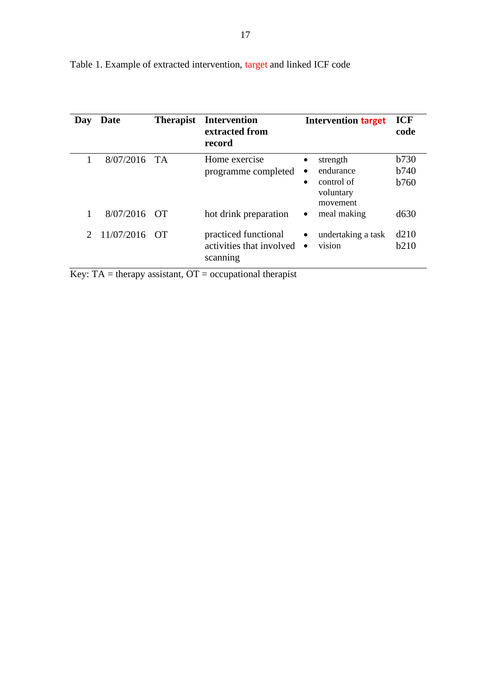| Day           | Date           | <b>Therapist</b> | <b>Intervention</b><br>extracted from<br>record              | <b>Intervention target</b>                                                             | <b>ICF</b><br>code                           |
|---------------|----------------|------------------|--------------------------------------------------------------|----------------------------------------------------------------------------------------|----------------------------------------------|
|               | $8/07/2016$ TA |                  | Home exercise<br>programme completed                         | strength<br>endurance<br>$\bullet$<br>control of<br>$\bullet$<br>voluntary<br>movement | <b>b</b> 730<br><b>b</b> 740<br><b>b</b> 760 |
|               | 8/07/2016      | - OT             | hot drink preparation                                        | meal making<br>$\bullet$                                                               | d630                                         |
| $\mathcal{D}$ | 11/07/2016     | - OT             | practiced functional<br>activities that involved<br>scanning | undertaking a task<br>٠<br>vision<br>$\bullet$                                         | d210<br>b210                                 |

Table 1. Example of extracted intervention, target and linked ICF code

Key:  $TA =$  therapy assistant,  $OT =$  occupational therapist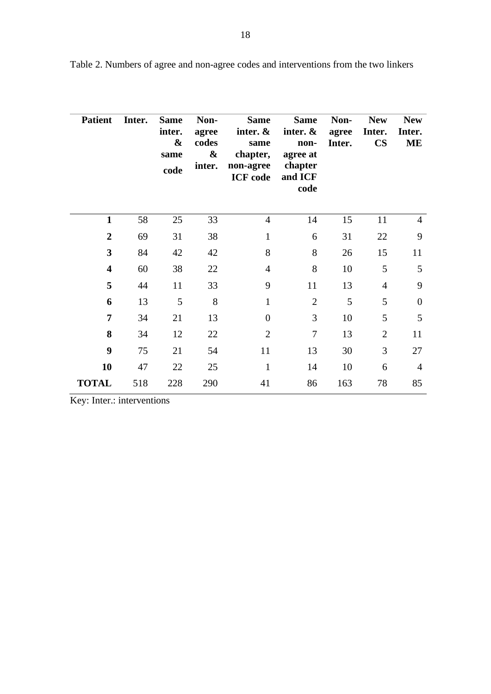| <b>Patient</b>          | Inter. | <b>Same</b><br>inter.<br>&<br>same<br>code | Non-<br>agree<br>codes<br>$\boldsymbol{\&}$<br>inter. | <b>Same</b><br>inter. $\&$<br>same<br>chapter,<br>non-agree<br><b>ICF</b> code | <b>Same</b><br>inter. $\&$<br>non-<br>agree at<br>chapter<br>and ICF<br>code | Non-<br>agree<br>Inter. | <b>New</b><br>Inter.<br><b>CS</b> | <b>New</b><br>Inter.<br><b>ME</b> |
|-------------------------|--------|--------------------------------------------|-------------------------------------------------------|--------------------------------------------------------------------------------|------------------------------------------------------------------------------|-------------------------|-----------------------------------|-----------------------------------|
| $\mathbf{1}$            | 58     | 25                                         | 33                                                    | $\overline{4}$                                                                 | 14                                                                           | 15                      | 11                                | $\overline{4}$                    |
| $\overline{2}$          | 69     | 31                                         | 38                                                    | $\mathbf{1}$                                                                   | 6                                                                            | 31                      | 22                                | 9                                 |
| 3                       | 84     | 42                                         | 42                                                    | 8                                                                              | 8                                                                            | 26                      | 15                                | 11                                |
| $\overline{\mathbf{4}}$ | 60     | 38                                         | 22                                                    | $\overline{4}$                                                                 | 8                                                                            | 10                      | 5                                 | 5                                 |
| 5                       | 44     | 11                                         | 33                                                    | 9                                                                              | 11                                                                           | 13                      | $\overline{4}$                    | 9                                 |
| 6                       | 13     | 5                                          | 8                                                     | $\mathbf{1}$                                                                   | $\overline{2}$                                                               | 5                       | 5                                 | $\theta$                          |
| 7                       | 34     | 21                                         | 13                                                    | $\overline{0}$                                                                 | 3                                                                            | 10                      | 5                                 | 5                                 |
| 8                       | 34     | 12                                         | 22                                                    | 2                                                                              | $\overline{7}$                                                               | 13                      | $\overline{2}$                    | 11                                |
| 9                       | 75     | 21                                         | 54                                                    | 11                                                                             | 13                                                                           | 30                      | 3                                 | 27                                |
| 10                      | 47     | 22                                         | 25                                                    | $\mathbf{1}$                                                                   | 14                                                                           | 10                      | 6                                 | $\overline{4}$                    |
| <b>TOTAL</b>            | 518    | 228                                        | 290                                                   | 41                                                                             | 86                                                                           | 163                     | 78                                | 85                                |

Table 2. Numbers of agree and non-agree codes and interventions from the two linkers

Key: Inter.: interventions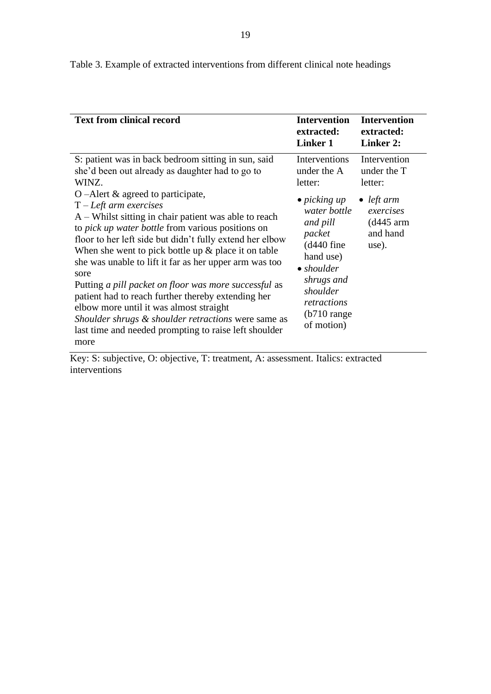| <b>Text from clinical record</b>                                                                                                                                                                                                                                                                                                                                                                                                                                                           | <b>Intervention</b><br>extracted:<br>Linker 1                                                                                                            | <b>Intervention</b><br>extracted:<br><b>Linker 2:</b>                                                                 |  |
|--------------------------------------------------------------------------------------------------------------------------------------------------------------------------------------------------------------------------------------------------------------------------------------------------------------------------------------------------------------------------------------------------------------------------------------------------------------------------------------------|----------------------------------------------------------------------------------------------------------------------------------------------------------|-----------------------------------------------------------------------------------------------------------------------|--|
| S: patient was in back bedroom sitting in sun, said<br>she'd been out already as daughter had to go to<br>WINZ.<br>O –Alert $\&$ agreed to participate,<br>$T$ – Left arm exercises<br>$A$ – Whilst sitting in chair patient was able to reach<br>to <i>pick up water bottle</i> from various positions on<br>floor to her left side but didn't fully extend her elbow<br>When she went to pick bottle up $\&$ place it on table<br>she was unable to lift it far as her upper arm was too | Interventions<br>under the A<br>letter:<br>$\bullet$ picking up<br>water bottle<br>and pill<br>packet<br>$(d440$ fine<br>hand use)<br>$\bullet$ shoulder | Intervention<br>under the T<br>letter:<br>$\bullet$ <i>left arm</i><br>exercises<br>$(d445)$ arm<br>and hand<br>use). |  |
| sore<br>Putting a pill packet on floor was more successful as<br>patient had to reach further thereby extending her<br>elbow more until it was almost straight<br>Shoulder shrugs & shoulder retractions were same as<br>last time and needed prompting to raise left shoulder<br>more                                                                                                                                                                                                     | shrugs and<br>shoulder<br>retractions<br>$(b710 \text{ range}$<br>of motion)                                                                             |                                                                                                                       |  |

Table 3. Example of extracted interventions from different clinical note headings

Key: S: subjective, O: objective, T: treatment, A: assessment. Italics: extracted interventions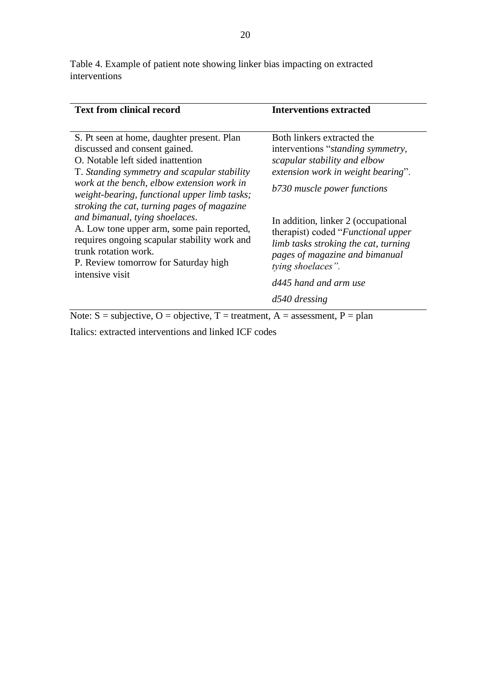Table 4. Example of patient note showing linker bias impacting on extracted interventions

| <b>Text from clinical record</b>                                                                                                                                                                                                                                                                               | <b>Interventions extracted</b>                                                                                                                                                   |
|----------------------------------------------------------------------------------------------------------------------------------------------------------------------------------------------------------------------------------------------------------------------------------------------------------------|----------------------------------------------------------------------------------------------------------------------------------------------------------------------------------|
| S. Pt seen at home, daughter present. Plan<br>discussed and consent gained.<br>O. Notable left sided inattention<br>T. Standing symmetry and scapular stability<br>work at the bench, elbow extension work in                                                                                                  | Both linkers extracted the<br>interventions " <i>standing symmetry</i> ,<br>scapular stability and elbow<br>extension work in weight bearing".<br>b730 muscle power functions    |
| weight-bearing, functional upper limb tasks;<br>stroking the cat, turning pages of magazine<br>and bimanual, tying shoelaces.<br>A. Low tone upper arm, some pain reported,<br>requires ongoing scapular stability work and<br>trunk rotation work.<br>P. Review tomorrow for Saturday high<br>intensive visit | In addition, linker 2 (occupational<br>therapist) coded " <i>Functional upper</i><br>limb tasks stroking the cat, turning<br>pages of magazine and bimanual<br>tying shoelaces". |
|                                                                                                                                                                                                                                                                                                                | d445 hand and arm use                                                                                                                                                            |
|                                                                                                                                                                                                                                                                                                                | $d540$ dressing                                                                                                                                                                  |
| Note: $S =$ subjective, $O =$ objective, $T =$ treatment, $A =$ assessment, $P =$ plan                                                                                                                                                                                                                         |                                                                                                                                                                                  |

Italics: extracted interventions and linked ICF codes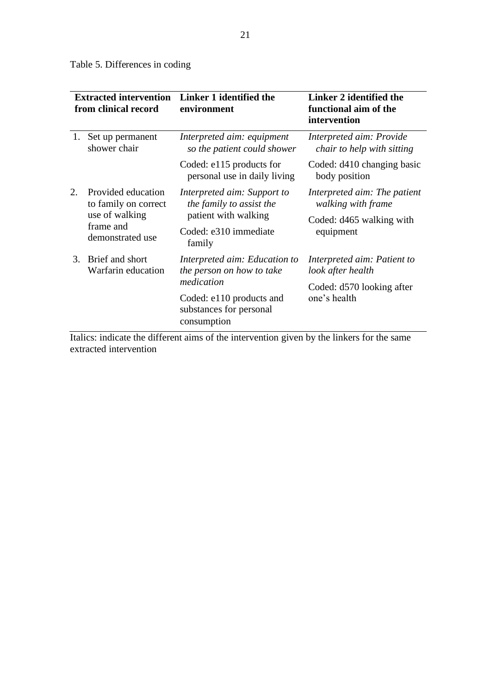Table 5. Differences in coding

| <b>Extracted intervention</b><br>from clinical record        | Linker 1 identified the<br>environment                                          | Linker 2 identified the<br>functional aim of the<br>intervention               |  |
|--------------------------------------------------------------|---------------------------------------------------------------------------------|--------------------------------------------------------------------------------|--|
| Set up permanent<br>shower chair                             | Interpreted aim: equipment<br>so the patient could shower                       | Interpreted aim: Provide<br>chair to help with sitting                         |  |
|                                                              | Coded: e115 products for<br>personal use in daily living                        | Coded: d410 changing basic<br>body position                                    |  |
| Provided education<br>to family on correct<br>use of walking | Interpreted aim: Support to<br>the family to assist the<br>patient with walking | Interpreted aim: The patient<br>walking with frame<br>Coded: d465 walking with |  |
|                                                              | Coded: e310 immediate<br>family                                                 | equipment                                                                      |  |
| Brief and short<br>Warfarin education                        | Interpreted aim: Education to<br>the person on how to take                      | Interpreted aim: Patient to<br>look after health                               |  |
|                                                              |                                                                                 | Coded: d570 looking after<br>one's health                                      |  |
|                                                              | substances for personal<br>consumption                                          |                                                                                |  |
|                                                              | frame and<br>demonstrated use                                                   | medication<br>Coded: e110 products and                                         |  |

Italics: indicate the different aims of the intervention given by the linkers for the same extracted intervention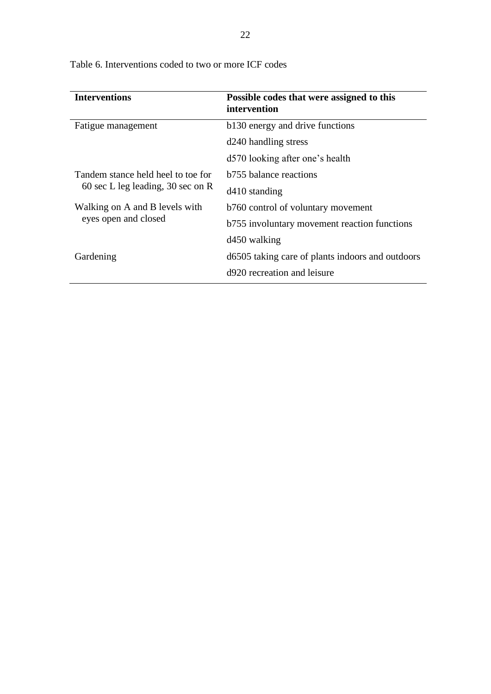| <b>Interventions</b>               | Possible codes that were assigned to this<br>intervention |
|------------------------------------|-----------------------------------------------------------|
| Fatigue management                 | b130 energy and drive functions                           |
|                                    | d240 handling stress                                      |
|                                    | d570 looking after one's health                           |
| Tandem stance held heel to toe for | <b>b</b> 755 balance reactions                            |
| 60 sec L leg leading, 30 sec on R  | $d410$ standing                                           |
| Walking on A and B levels with     | b760 control of voluntary movement                        |
| eyes open and closed               | b755 involuntary movement reaction functions              |
|                                    | d <sub>450</sub> walking                                  |
| Gardening                          | d6505 taking care of plants indoors and outdoors          |
|                                    | d920 recreation and leisure                               |

Table 6. Interventions coded to two or more ICF codes